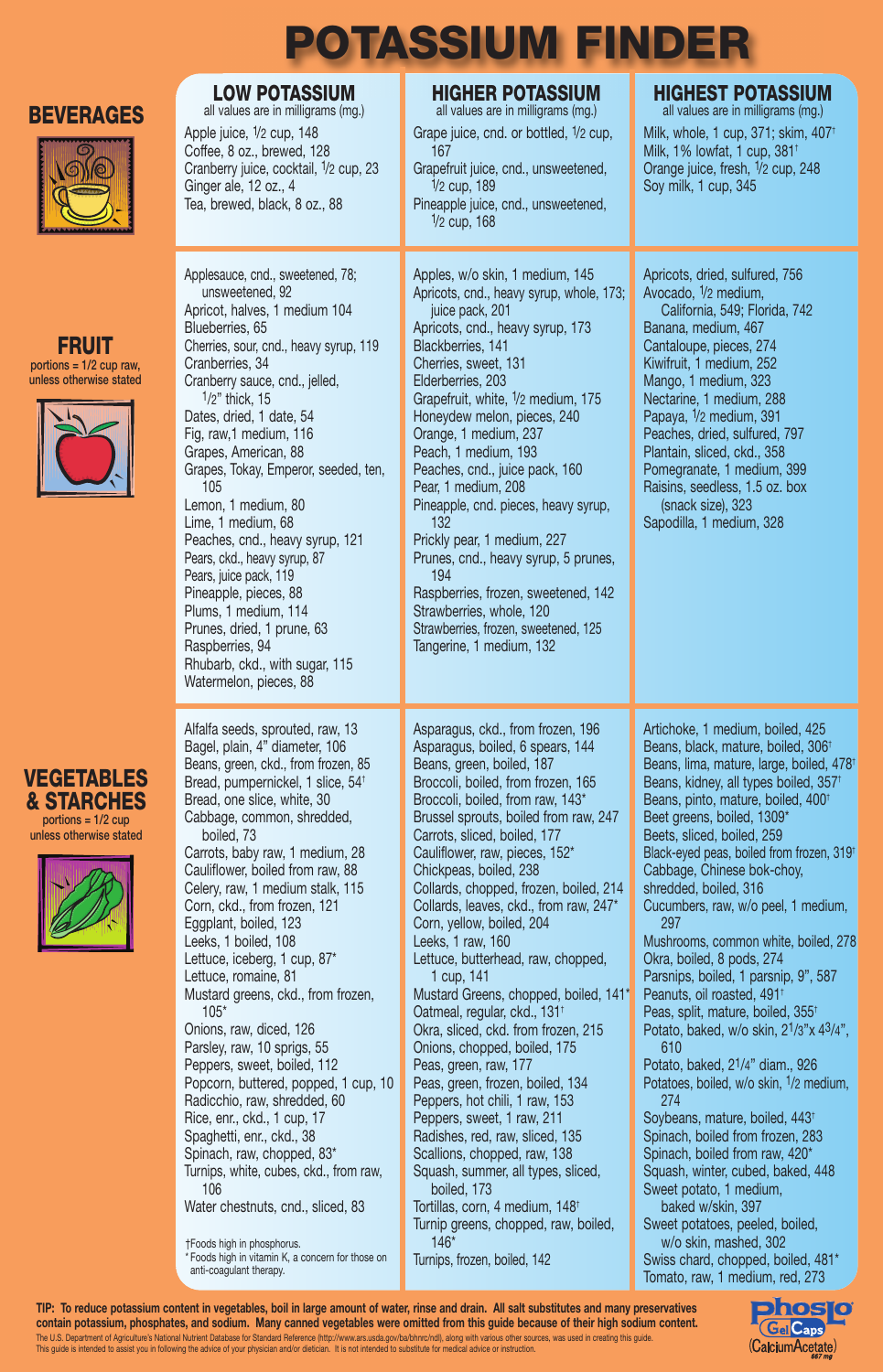## **BEVERAGES**



**FRUIT** portions = 1/2 cup raw, unless otherwise stated

Apple juice, 1/2 cup, 148 Coffee, 8 oz., brewed, 128 Cranberry juice, cocktail, 1/2 cup, 23 Ginger ale, 12 oz., 4 Tea, brewed, black, 8 oz., 88

Applesauce, cnd., sweetened, 78;

Apricot, halves, 1 medium 104

Cranberry sauce, cnd., jelled,

Cherries, sour, cnd., heavy syrup, 119

Grapes, Tokay, Emperor, seeded, ten,

Peaches, cnd., heavy syrup, 121 Pears, ckd., heavy syrup, 87 Pears, juice pack, 119 Pineapple, pieces, 88 Plums, 1 medium, 114 Prunes, dried, 1 prune, 63

Rhubarb, ckd., with sugar, 115 Watermelon, pieces, 88

Alfalfa seeds, sprouted, raw, 13 Bagel, plain, 4" diameter, 106 Beans, green, ckd., from frozen, 85 Bread, pumpernickel, 1 slice, 54† Bread, one slice, white, 30 Cabbage, common, shredded,

unsweetened, 92

Blueberries, 65

Cranberries, 34

105

1/2" thick, 15 Dates, dried, 1 date, 54 Fig, raw,1 medium, 116 Grapes, American, 88

Lemon, 1 medium, 80 Lime, 1 medium, 68

Raspberries, 94

boiled, 73

## **LOW POTASSIUM**<br>all values are in milligrams (mg.) all values are in milligrams (mg.) all values are in milligrams (mg.) all values are in milligrams (mg.)

**POTASSIUM FINDER**

Grape juice, cnd. or bottled, 1/2 cup, 167 Grapefruit juice, cnd., unsweetened, 1/2 cup, 189 Pineapple juice, cnd., unsweetened, 1/2 cup, 168

Blackberries, 141

Elderberries, 203

132

Apples, w/o skin, 1 medium, 145 Apricots, cnd., heavy syrup, whole, 173; juice pack, 201 Apricots, cnd., heavy syrup, 173 Cherries, sweet, 131 Grapefruit, white, 1/2 medium, 175 Honeydew melon, pieces, 240 Orange, 1 medium, 237 Peach, 1 medium, 193 Peaches, cnd., juice pack, 160 Pear, 1 medium, 208 Pineapple, cnd. pieces, heavy syrup,

Prickly pear, 1 medium, 227 Prunes, cnd., heavy syrup, 5 prunes, 194 Raspberries, frozen, sweetened, 142

Strawberries, whole, 120 Strawberries, frozen, sweetened, 125 Tangerine, 1 medium, 132

Asparagus, ckd., from frozen, 196 Asparagus, boiled, 6 spears, 144 Beans, green, boiled, 187 Broccoli, boiled, from frozen, 165 Broccoli, boiled, from raw, 143\* Brussel sprouts, boiled from raw, 247 Carrots, sliced, boiled, 177 Cauliflower, raw, pieces, 152\* Chickpeas, boiled, 238 Collards, chopped, frozen, boiled, 214 Collards, leaves, ckd., from raw, 247\* Corn, yellow, boiled, 204 Leeks, 1 raw, 160 Lettuce, butterhead, raw, chopped, 1 cup, 141 Mustard Greens, chopped, boiled, 141\* Oatmeal, regular, ckd., 131† Okra, sliced, ckd. from frozen, 215 Onions, chopped, boiled, 175 Peas, green, raw, 177 Peas, green, frozen, boiled, 134 Peppers, hot chili, 1 raw, 153 Peppers, sweet, 1 raw, 211 Radishes, red, raw, sliced, 135

Scallions, chopped, raw, 138 Squash, summer, all types, sliced, boiled, 173 Tortillas, corn, 4 medium, 148† Turnip greens, chopped, raw, boiled, 146\*

Turnips, frozen, boiled, 142

| Orange juice, fresh, 1/2 cup, 248<br>Soy milk, 1 cup, 345                                                                                                                                                                                                                                                                                                                                                                             |
|---------------------------------------------------------------------------------------------------------------------------------------------------------------------------------------------------------------------------------------------------------------------------------------------------------------------------------------------------------------------------------------------------------------------------------------|
| Apricots, dried, sulfured, 756<br>Avocado, 1/2 medium,<br>California, 549; Florida, 742<br>Banana, medium, 467<br>Cantaloupe, pieces, 274<br>Kiwifruit, 1 medium, 252<br>Mango, 1 medium, 323<br>Nectarine, 1 medium, 288<br>Papaya, 1/2 medium, 391<br>Peaches, dried, sulfured, 797<br>Plantain, sliced, ckd., 358<br>Pomegranate, 1 medium, 399<br>Raisins, seedless, 1.5 oz. box<br>(snack size), 323<br>Sapodilla, 1 medium, 328 |
| Artichoke, 1 medium, boiled, 425<br>Beans, black, mature, boiled, 306 <sup>+</sup><br>Beans, lima, mature, large, boiled, 47<br>Beans, kidney, all types boiled, 357 <sup>+</sup><br>Beans, pinto, mature, boiled, 400 <sup>+</sup>                                                                                                                                                                                                   |

Milk, whole, 1 cup, 371; skim, 407† Milk, 1% lowfat, 1 cup, 381†

Beans, lima, mature, large, boiled, 478† Beans, pinto, mature, boiled, 400† Beet greens, boiled, 1309\* Beets, sliced, boiled, 259 Black-eyed peas, boiled from frozen, 319† Cabbage, Chinese bok-choy, shredded, boiled, 316 Cucumbers, raw, w/o peel, 1 medium, 297 Mushrooms, common white, boiled, 278 Okra, boiled, 8 pods, 274 Parsnips, boiled, 1 parsnip, 9", 587 Peanuts, oil roasted, 491† Peas, split, mature, boiled, 355† Potato, baked, w/o skin, 21/3"x 43/4", 610 Potato, baked, 21/4" diam., 926 Potatoes, boiled, w/o skin, 1/2 medium, 274 Soybeans, mature, boiled, 443† Spinach, boiled from frozen, 283 Spinach, boiled from raw, 420\* Squash, winter, cubed, baked, 448 Sweet potato, 1 medium, baked w/skin, 397 Sweet potatoes, peeled, boiled, w/o skin, mashed, 302

Swiss chard, chopped, boiled, 481\* Tomato, raw, 1 medium, red, 273

**Dhosi Gel** Caps (CalciumAcetate)

## **VEGETABLES & STARCHES** portions = 1/2 cup

unless otherwise stated



†Foods high in phosphorus. Carrots, baby raw, 1 medium, 28 Cauliflower, boiled from raw, 88 Celery, raw, 1 medium stalk, 115 Corn, ckd., from frozen, 121 Eggplant, boiled, 123 Leeks, 1 boiled, 108 Lettuce, iceberg, 1 cup, 87\* Lettuce, romaine, 81 Mustard greens, ckd., from frozen, 105\* Onions, raw, diced, 126 Parsley, raw, 10 sprigs, 55 Peppers, sweet, boiled, 112 Popcorn, buttered, popped, 1 cup, 10 Radicchio, raw, shredded, 60 Rice, enr., ckd., 1 cup, 17 Spaghetti, enr., ckd., 38 Spinach, raw, chopped, 83\* Turnips, white, cubes, ckd., from raw, 106 Water chestnuts, cnd., sliced, 83

\* Foods high in vitamin K, a concern for those on anti-coagulant therapy.

TIP: To reduce potassium content in vegetables, boil in large amount of water, rinse and drain. All salt substitutes and many preservatives contain potassium, phosphates, and sodium. Many canned vegetables were omitted from this guide because of their high sodium content. The U.S. Department of Agriculture's National Nutrient Database for Standard Reference (http://www.ars.usda.gov/ba/bhnrc/ndl), along with various other sources, was used in creating this guide. This guide is intended to assist you in following the advice of your physician and/or dietician. It is not intended to substitute for medical advice or instruction.